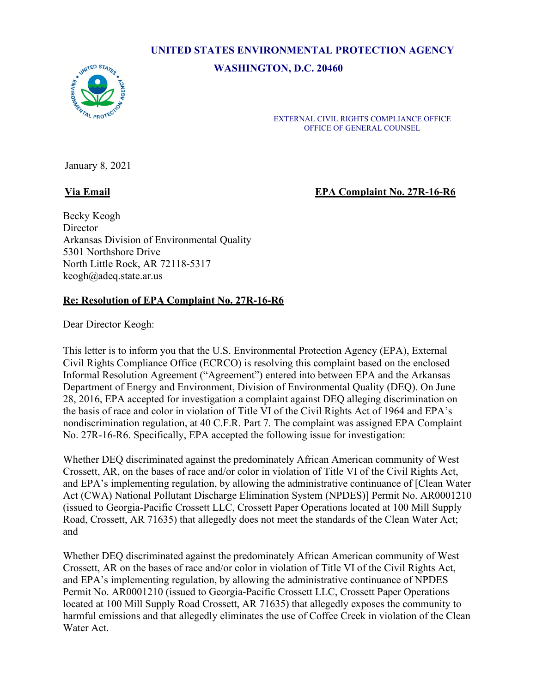# **UNITED STATES ENVIRONMENTAL PROTECTION AGENCY**

**WASHINGTON, D.C. 20460**



EXTERNAL CIVIL RIGHTS COMPLIANCE OFFICE OFFICE OF GENERAL COUNSEL

January 8, 2021

**Via Email EPA Complaint No. 27R-16-R6**

Becky Keogh Director Arkansas Division of Environmental Quality 5301 Northshore Drive North Little Rock, AR 72118-5317 [keogh@adeq.state.ar.us](mailto:keogh@adeq.state.ar.us)

# **Re: Resolution of EPA Complaint No. 27R-16-R6**

Dear Director Keogh:

This letter is to inform you that the U.S. Environmental Protection Agency (EPA), External Civil Rights Compliance Office (ECRCO) is resolving this complaint based on the enclosed Informal Resolution Agreement ("Agreement") entered into between EPA and the Arkansas Department of Energy and Environment, Division of Environmental Quality (DEQ). On June 28, 2016, EPA accepted for investigation a complaint against DEQ alleging discrimination on the basis of race and color in violation of Title VI of the Civil Rights Act of 1964 and EPA's nondiscrimination regulation, at 40 C.F.R. Part 7. The complaint was assigned EPA Complaint No. 27R-16-R6. Specifically, EPA accepted the following issue for investigation:

Whether DEQ discriminated against the predominately African American community of West Crossett, AR, on the bases of race and/or color in violation of Title VI of the Civil Rights Act, and EPA's implementing regulation, by allowing the administrative continuance of [Clean Water Act (CWA) National Pollutant Discharge Elimination System (NPDES)] Permit No. AR0001210 (issued to Georgia-Pacific Crossett LLC, Crossett Paper Operations located at 100 Mill Supply Road, Crossett, AR 71635) that allegedly does not meet the standards of the Clean Water Act; and

Whether DEQ discriminated against the predominately African American community of West Crossett, AR on the bases of race and/or color in violation of Title VI of the Civil Rights Act, and EPA's implementing regulation, by allowing the administrative continuance of NPDES Permit No. AR0001210 (issued to Georgia-Pacific Crossett LLC, Crossett Paper Operations located at 100 Mill Supply Road Crossett, AR 71635) that allegedly exposes the community to harmful emissions and that allegedly eliminates the use of Coffee Creek in violation of the Clean Water Act.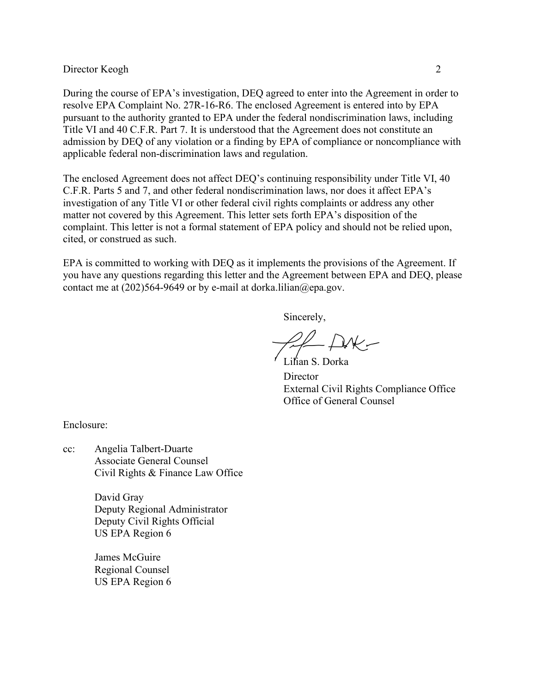#### Director Keogh 2

During the course of EPA's investigation, DEQ agreed to enter into the Agreement in order to resolve EPA Complaint No. 27R-16-R6. The enclosed Agreement is entered into by EPA pursuant to the authority granted to EPA under the federal nondiscrimination laws, including Title VI and 40 C.F.R. Part 7. It is understood that the Agreement does not constitute an admission by DEQ of any violation or a finding by EPA of compliance or noncompliance with applicable federal non-discrimination laws and regulation.

The enclosed Agreement does not affect DEQ's continuing responsibility under Title VI, 40 C.F.R. Parts 5 and 7, and other federal nondiscrimination laws, nor does it affect EPA's investigation of any Title VI or other federal civil rights complaints or address any other matter not covered by this Agreement. This letter sets forth EPA's disposition of the complaint. This letter is not a formal statement of EPA policy and should not be relied upon, cited, or construed as such.

EPA is committed to working with DEQ as it implements the provisions of the Agreement. If you have any questions regarding this letter and the Agreement between EPA and DEQ, please contact me at  $(202)564-9649$  or by e-mail [at dorka.lilian@epa.gov.](mailto:dorka.lilian@epa.gov)

Sincerely,

 $H - P$ 

Lilian S. Dorka **Director** External Civil Rights Compliance Office Office of General Counsel

Enclosure:

cc: Angelia Talbert-Duarte Associate General Counsel Civil Rights & Finance Law Office

> David Gray Deputy Regional Administrator Deputy Civil Rights Official US EPA Region 6

James McGuire Regional Counsel US EPA Region 6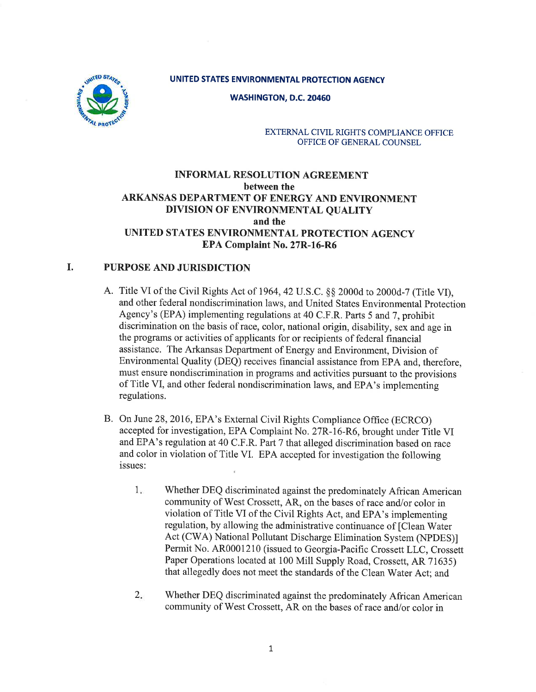## UNITED STATES ENVIRONMENTAL PROTECTION AGENCY



WASHINGTON, D.C.2O45O

#### EXTERNAL CIVIL RIGHTS COMPLIANCE OFFICE OFFICE OF GENERAL COUNSEL

# INFORMAL RESOLUTION AGREEMENT between the ARKANSAS DEPARTMENT OF ENERGY AND ENVIRONMENT DIVISION OF ENVIRONMENTAL QUALITY and the UNITED STATES ENVIRONMENTAL PROTECTION AGENCY EPA Complaint No. 27R-16-R6

# I. PURPOSE AND JURISDICTION

- A. Title VI of the Civil Rights Act of 1964, 42 U.S.C. §§ 2000d to 2000d-7 (Title VI), and other federal nondiscrimination laws, and United States Environmental Protection Agency's (EPA) implementing regulations at 40 C.F.R. Parts 5 and 7, prohibit discrimination on the basis of race, color, national origin, disability, sex and age in the programs or activities of applicants for or recipients of federal financial assistance. The Arkansas Department of Energy and Environment, Division of Environmental Quality (DEQ) receives financial assistance from EPA and, therefore, must ensure nondiscrimination in programs and activities pursuant to the provisions of Title VI, and other federal nondiscrimination laws, and EPA's implementing regulations.
- B. on June 28,2016, EPA's External civil Rights compliance office (ECRCO) accepted for investigation, EPA Complaint No. 27R-16-R6, brought under Title VI and EPA's regulation at 40 C.F.R. Part 7 that alleged discrimination based on race and color in violation of Title VI. EPA accepted for investigation the following issues:
	- whether DEQ discriminated against the predominately African American community of West Crossett, AR, on the bases of race and/or color in violation of Title VI of the Civil Rights Act, and EPA's implementing regulation, by allowing the administrative continuance of [Clean Water Act (CWA) National Pollutant Discharge Elimination System (NPDES)] Permit No. AR0001210 (issued to Georgia-Pacific Crossett LLC, Crossett Paper Operations located at 100 Mill Supply Road, Crossett, AR 71635) that allegedly does not meet the standards of the Clean Water Act; and 1
	- whether DEQ discriminated against the predominately African American community of West Crossett, AR on the bases of race and/or color in  $2.$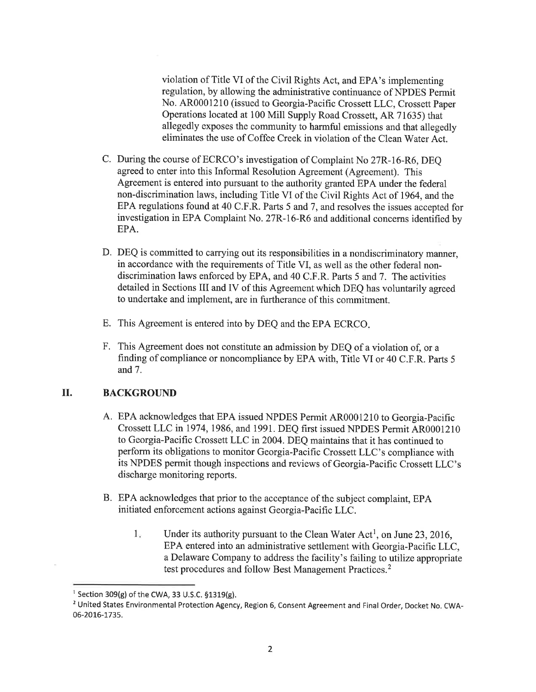violation of Title VI of the Civil Rights Act, and EPA's implementing regulation, by allowing the administrative continuance of NPDES Permit No. AR0001210 (issued to Georgia-Pacific Crossett LLC, Crossett Paper Operations located at 100 Mill Supply Road Crossett, AR 71635) thal allegedly exposes the community to harmful emissions and that allegedly eliminates the use of Coffee Creek in violation of the Clean Water Act.

- C. During the course of ECRCO's investigation of Complaint No 27R-16-R6, DEe agreed to enter into this Informal Resolution Agreement (Agreement). This Agreement is entered into pursuant to the authority granted EPA under the federal non-discrimination laws, including Title VI of the Civil Rights Act of 1964, and the EPA regulations found at 40 C.F.R. Parts 5 and 7, and resolves the issues accepted for investigation in EPA Complaint No. 27R-16-R6 and additional concerns identified by EPA.
- D. DEQ is committed to carrying out its responsibilities in a nondiscriminatory manner, in accordance with the requirements of Title VI, as well as the other federal nondiscrimination laws enforced by EPA, and 40 C.F.R. Parts 5 and 7. The activities detailed in Sections III and IV of this Agreement which DEQ has voluntarily agreed to undertake and implement, are in furtherance of this commitment.
- E. This Agreement is entered into by DEQ and the EPA ECRCO
- F. This Agreement does not constitute an admission by DEQ of a violation of, or <sup>a</sup> finding of compliance or noncompliance by EPA with, Title VI or 40 C.F.R. Parts <sup>5</sup> and 7.

#### II. BACKGROUND

- A. EPA acknowledges that EPA issued NPDES Permit AR0001210 to Georgia-Pacific Crossett LLC in 1974,1986, and 1991. DEQ first issued NPDES Permit AR0001210 to Georgia-Pacific Crossett LLC in 2004. DEQ maintains that it has continued to perform its obligations to monitor Georgia-Pacific Crossett LLC's compliance with its NPDES permit though inspections and reviews of Georgia-Pacific Crossett LLC's discharge monitoring reports.
- B. EPA acknowledges that prior to the acceptance of the subject complaint, EPA initiated enforcement actions against Georgia-Pacific LLC.
	- Under its authority pursuant to the Clean Water Act<sup>1</sup>, on June 23, 2016, EPA entered into an administrative settlement with Georgia-Pacific LLC, a Delaware Company to address the facility's failing to utilize appropriate test procedures and follow Best Management Practices.<sup>2</sup>  $1.$

<sup>&</sup>lt;sup>1</sup> Section 309(g) of the CWA, 33 U.S.C.  $$1319(g)$ .

<sup>&</sup>lt;sup>2</sup> United States Environmental Protection Agency, Region 6, Consent Agreement and Final Order, Docket No. CWA-06-2016-1735.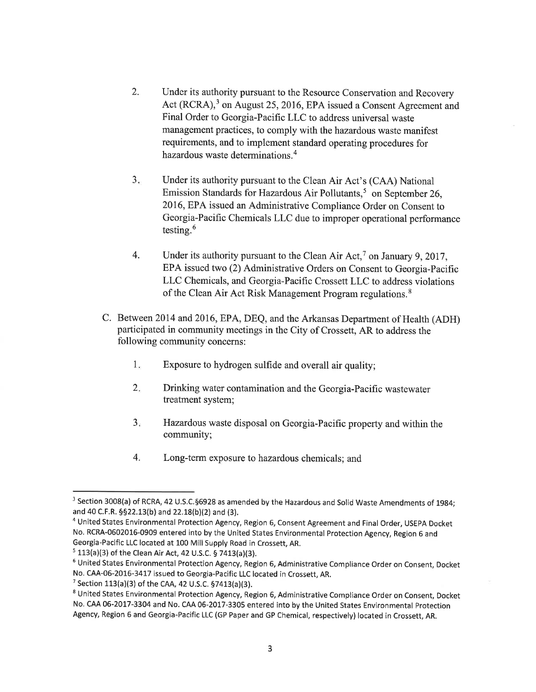- 2. Under its authority pursuant to the Resource Conservation and Recovery Act (RCRA),<sup>3</sup> on August 25, 2016, EPA issued a Consent Agreement and Final Order to Georgia-Pacific LLC to address universal waste management practices, to comply with the hazardous waste manifest requirements, and to implement standard operating procedures for hazardous waste determinations.<sup>4</sup>
- Under its authority pursuant to the Clean Air Act's (CAA) National Emission Standards for Hazardous Air Pollutants,<sup>5</sup> on September 26, 2016, EPA issued an Administrative Compliance Order on Consent to Georgia-Pacific Chemicals LLC due to improper operational performance testing. $6$  $3.$
- Under its authority pursuant to the Clean Air Act,<sup>7</sup> on January 9, 2017, EPA issued two (2) Administrative Orders on Consent to Georgia-Pacific LLC Chemicals, and Georgia-Pacific Crossett LLC to address violations of the Clean Air Act Risk Management Program regulations.<sup>8</sup> 4.
- C. Between 2014 and 2016, EPA, DEQ, and the Arkansas Department of Health (ADH) participated in community meetings in the City of Crossett, AR to address the following community concerns:
	- Exposure to hydrogen sulfide and overall air quality; I
	- Drinking water contamination and the Georgia-Pacific wastewater treatment system;  $2.$
	- Hazardous waste disposal on Georgia-Pacific property and within the community;  $3.$
	- 4. Long-term exposure to hazardous chemicals; and

<sup>&</sup>lt;sup>3</sup> Section 3008(a) of RCRA, 42 U.S.C.§6928 as amended by the Hazardous and Solid Waste Amendments of 1984; and 40 C.F.R.  $\S$ §22.13(b) and 22.18(b)(2) and (3).

<sup>4</sup>United States Environmental Protection Agency, Region 6, Consent Agreement and Final Order, USEpA Docket No. RCRA-0602016-0909 entered into by the United States Environmental Protection Agency, Region 6 and Georgia-Pacific LLC located at 100 Mill Supply Road in Crossett, AR.

 $5$  113(a)(3) of the Clean Air Act, 42 U.S.C. § 7413(a)(3).

<sup>6</sup>United States Environmental Protection Agency, Region 6, Administrative Compliance Order on Consent, Docket No. CAA-06-2016-3417 issued to Georgia-Pacific LLC located in Crossett, AR.

 $7$  Section 113(a)(3) of the CAA, 42 U.S.C. §7413(a)(3).

<sup>8</sup>United States Environmental Protection Agency, Region 6, Administrative Compliance Order on Consent, Docket No. CAA 06-2017-3304 and No. CAA 06-2017-3305 entered into by the United States Environmental Protection Agency, Region 6 and Georgia-Pacific LLC (GP Paper and GP Chemical, respectively) located in Crossett, AR.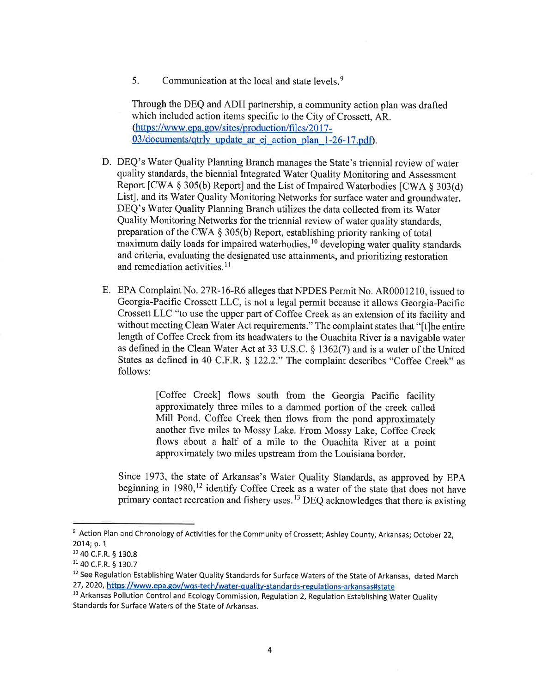5. Communication at the local and state levels. $9$ 

Through the DEQ and ADH partnership, a community action plan was drafted which included action items specific to the City of Crossett, AR. (https ://www. epa. gov/sites/production/files/20 1 7-  $03$ /documents/qtrly update ar ej action plan 1-26-17.pdf).

- D. DEQ's Water Quality Planning Branch manages the State's triennial review of water quality standards, the biennial Integrated Water Quality Monitoring and Assessment Report  $[CWA \S 305(b)$  Report] and the List of Impaired Waterbodies  $[CWA \S 303(d)]$ List], and its Water Quality Monitoring Networks for surface water and groundwater. DEQ's Water Quality Planning Branch utilizes the data collected from its Water Quality Monitoring Networks for the triennial review of water quality standards, preparation of the CWA \$ 305(b) Report, establishing priority ranking of total maximum daily loads for impaired waterbodies, $10$  developing water quality standards and criteria, evaluating the designated use attainments, and prioritizing restoration and remediation activities. $<sup>11</sup>$ </sup>
- E. EPA Complaint No. 27R-16-R6 alleges that NPDES Permit No. AR0001210, issued to Georgia-Pacific Crossett LLC, is not a legal permit because it allows Georgia-Pacific Crossett LLC "to use the upper part of Coffee Creek as an extension of its facility and without meeting Clean Water Act requirements." The complaint states that "[t]he entire length of Coffee Creek from its headwaters to the Ouachita River is a navigable water as defined in the Clean Water Act at 33 U.S.C. \$ 1362(7) and is a water of the United States as defined in 40 C.F.R. \$ 122.2." The complaint describes "Coffee Creek" as follows:

fCoffee Creek] flows south from the Georgia Pacific facility approximately three miles to a dammed portion of the creek called Mill Pond. Coffee Creek then flows from the pond approximately another five miles to Mossy Lake. From Mossy Lake, Coffee Creek flows about a half of a mile to the Ouachita River at a point approximately two miles upstream from the Louisiana border.

Since 1973, the state of Arkansas's water Quality Standards, as approved by EpA beginning in 1980,<sup>12</sup> identify Coffee Creek as a water of the state that does not have primary contact recreation and fishery uses.<sup>13</sup> DEQ acknowledges that there is existing

<sup>&</sup>lt;sup>9</sup> Action Plan and Chronology of Activities for the Community of Crossett; Ashley County, Arkansas; October 22, 2014; p. 1

<sup>&</sup>lt;sup>10</sup> 40 C.F.R. § 130.8

<sup>1140</sup> c.F.R. S 130.7

<sup>&</sup>lt;sup>12</sup> See Regulation Establishing Water Quality Standards for Surface Waters of the State of Arkansas, dated March 27, 2020, https://www.epa.gov/wqs-tech/water-quality-standards-regulations-arkansas#state

<sup>&</sup>lt;sup>13</sup> Arkansas Pollution Control and Ecology Commission, Regulation 2, Regulation Establishing Water Quality Standards for Surface Waters of the State of Arkansas.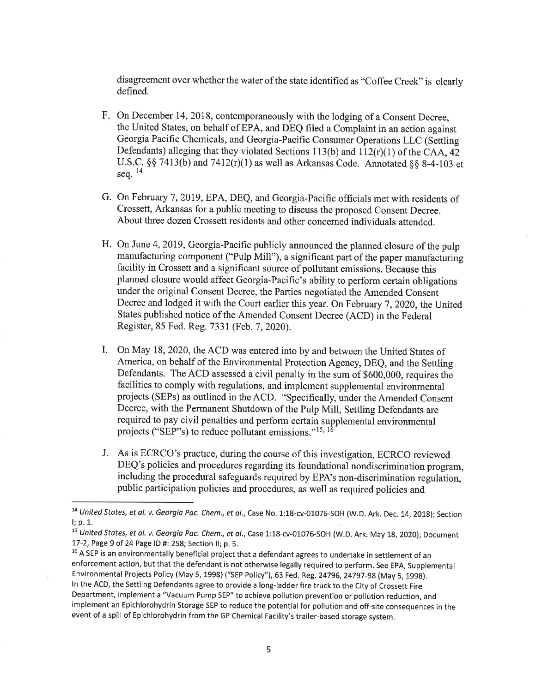disagreement over whether the water of the state identified as "Coffee Creek" is clearly defined.

- F. On December 14, 2018, contemporaneously with the lodging of a Consent Decree the United States, on behalf of EPA, and DEQ filed a Complaint in an action against Georgia Pacific Chemicals, and Georgia-Pacific Consumer Operations LLC (Settling Defendants) alleging that they violated Sections 113(b) and  $112(r)(1)$  of the CAA, 42 U.S.C. §§ 7413(b) and 7412(r)(1) as well as Arkansas Code. Annotated §§ 8-4-103 et seq.  $^{14}$
- G. On February 7,2019, EPA, DEQ, and Georgia-Pacific officials met with residents of Crossett, Arkansas for a public meeting to discuss the proposed Consent Decree. About three dozen Crossett residents and other concerned individuals attended.
- H. On June 4, 2019, Georgia-Pacific publicly announced the planned closure of the pulp manufacturing component ("Pulp Mill"), a significant part of the paper manufacturing facility in Crossett and a significant source of pollutant emissions. Because this planned closure would affect Georgia-Pacific's ability to perform certain obligations under the original Consent Decree, the Parties negotiated the Amended Consent Decree and lodged it with the Court earlier this year. On February 7, 2020, the United States published notice of the Amended Consent Decree (ACD) in the Federal Register, 85 Fed. Reg.7331 (Feb. 7, 2020).
- I. On May 18,2020, the ACD was entered into by and between the United States of America, on behalf of the Environmental Protection Agency, DEQ, and the Settling Defendants. The ACD assessed a civil penalty in the sum of \$600,000, requires the facilities to comply with regulations, and implement supplemental environmental projects (SEPs) as outlined in the ACD. "Specifically, under the Amended Consent Decree, with the Permanent Shutdown of the Pulp Mill, Settling Defendants are required to pay civil penalties and perform certain supplemental environmental projects ("SEP"s) to reduce pollutant emissions."<sup>15, 16</sup>
- J. As is ECRCO's practice, during the course of this investigation, ECRCO reviewed DEQ's policies and procedures regarding its foundational nondiscrimination program, including the procedural safeguards required by EPA s non-discrimination regulation, public participation policies and procedures, as well as required policies and

<sup>&</sup>lt;sup>14</sup> United States, et al. v. Georgia Pac. Chem., et al., Case No. 1:18-cv-01076-SOH (W.D. Ark. Dec. 14, 2018); Section l; p. 1.

<sup>&</sup>lt;sup>15</sup> United States, et al. v. Georgia Pac. Chem., et al., Case 1:18-cv-01076-SOH (W.D. Ark. May 18, 2020); Document t7-2, Page 9 of 24 Page lD #: 258; Section ll; p. 5.

<sup>&</sup>lt;sup>16</sup> A SEP is an environmentally beneficial project that a defendant agrees to undertake in settlement of an enforcement action, but that the defendant is not otherwise legally required to perform. See EpA, Supplemental Environmental Projects Policy (May 5, 1998) ("sEP policy"), 63 Fed. Reg.24796,24797-98 (May 5, 199g). ln the ACD, the Settling Defendants agree to provide a long-ladder fire truck to the City of Crossett Fire Department, implement a "Vacuum Pump SEP" to achieve pollution prevention or pollution reduction, and implement an Epichlorohydrin Storage SEP to reduce the potential for pollution and off-site consequences in the event of a spill of Epichlorohydrin from the GP Chemical Facility's trailer-based storage system.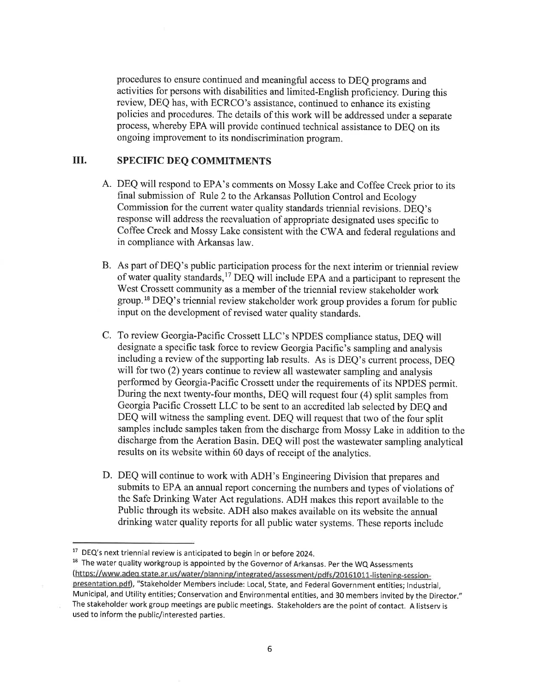procedures to ensure continued and meaningful access to DEQ programs and activities for persons with disabilities and limited-English proficiency. During this review, DEQ has, with ECRCO's assistance, continued to enhance its existing policies and procedures. The details of this work will be addressed under a separate process, whereby EPA will provide continued technical assistance to DEQ on its ongoing improvement to its nondiscrimination program.

# III. SPECIFIC DEQ COMMITMENTS

- A. DEQ will respond to EPA's comments on Mossy Lake and Coffee Creek prior to its final submission of Rule 2 to the Arkansas Pollution control and Ecology Commission for the current water quality standards triennial revisions. DEQ's response will address the reevaluation of appropriate designated uses specific to Coffee Creek and Mossy Lake consistent with the CWA and federal regulations and in compliance with Arkansas law.
- B. As part of DEQ's public participation process for the next interim or triennial review of water quality standards,<sup>17</sup> DEQ will include EPA and a participant to represent the West Crossett community as a member of the triennial review stakeholder work group.18 DEQ's triennial review stakeholder work group provides a forum for public input on the development of revised water quality standards.
- C. To review Georgia-Pacific Crossett LLC's NPDES compliance status, DEQ will designate a specific task force to review Georgia Pacific's sampling and analysis including a review of the supporting lab results. As is DEQ's current process, DEQ will for two (2) years continue to review all wastewater sampling and analysis performed by Georgia-Pacific Crossett under the requirements of its NPDES permit. During the next twenty-four months, DEQ will request four (4) split samples from Georgia Pacific Crossett LLC to be sent to an accredited lab selected by DEQ and DEQ will witness the sampling event. DEQ will request that two of the four split samples include samples taken from the discharge from Mossy Lake in addition to the discharge from the Aeration Basin. DEQ will post the wastewater sampling analytical results on its website within 60 days of receipt of the analytics.
- D. DEQ will continue to work with ADH's Engineering Division that prepares and submits to EPA an annual report concerning the numbers and types of violations of the Safe Drinking Water Act regulations. ADH makes this report available to the Public through its website. ADH also makes available on its website the annual drinking water quality reports for all public water systems. These reports include

 $17$  DEQ's next triennial review is anticipated to begin in or before 2024.

 $18$  The water quality workgroup is appointed by the Governor of Arkansas. Per the WQ Assessments (https://www.adeq.state.ar.us/water/planning/integrated/assessment/pdfs/20161011-listening-sessionpresentation.pdf), "Stakeholder Members include: Local, State, and Federal Government entities; lndustrial, Municipal, and Utility entities; Conservation and Environmental entities, and 30 members invited by the Director." The stakeholder work group meetings are public meetings. Stakeholders are the point of contact. A listserv is used to inform the public/interested parties.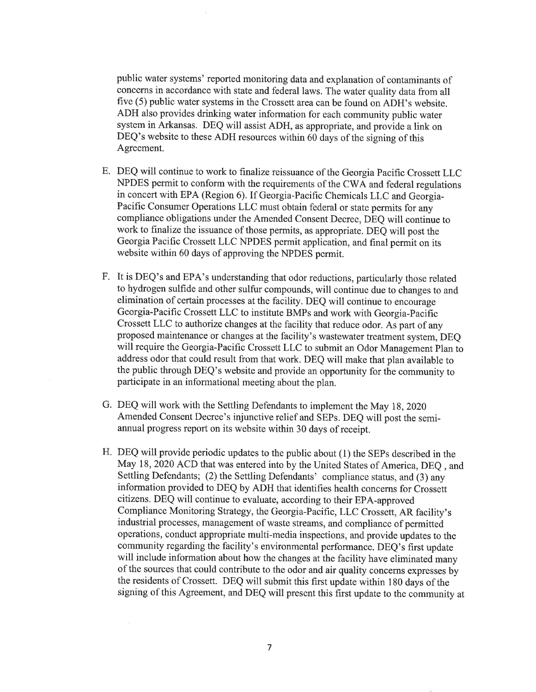public water systems' reported monitoring data and explanation of contaminants of concerns in accordance with state and federal laws. The water quality data from all five (5) public water systems in the Crossett area canbe found on ADH's website. ADH also provides drinking water information for each community public water system in Arkansas. DEQ will assist ADH, as appropriate, and provide a link on DEQ's website to these ADH resources within 60 days of the signing of this Agreement.

- E. DEQ will continue to work to finalize reissuance of the Georgia Pacific Crossett LLC NPDES permit to conform with the requirements of the CWA and federal regulations in concert with EPA (Region 6). If Georgia-Pacific Chemicals LLC and Georgia-Pacific Consumer Operations LLC must obtain federal or state permits for any compliance obligations under the Amended Consent Decree, DEQ will continue to work to finalize the issuance of those permits, as appropriate. DEQ will post the Georgia Pacific Crossett LLC NPDES permit application, and final permit on its website within 60 days of approving the NPDES permit.
- F. It is DEQ's and EPA's understanding that odor reductions, particularly those related to hydrogen sulfide and other sulfur compounds, will continue due to changes to and elimination of certain processes at the facility. DEQ will continue to encourage Georgia-Pacific Crossett LLC to institute BMPs and work with Georgia-Pacific Crossett LLC to authorize changes at the facility that reduce odor. As part of any proposed maintenance or changes at the facility's wastewater treatment system, DEQ will require the Georgia-Pacific Crossett LLC to submit an Odor Management Plan to address odor that could result from that work. DEQ will make that plan available to the public through DEQ's website and provide an opportunity for the community to participate in an informational meeting about the plan.
- G. DEQ will work with the Settling Defendants to implement the May 18,2020 Amended Consent Decree's injunctive relief and SEPs. DEQ will post the semiannual progress report on its website within 30 days of receipt.
- H. DEQ will provide periodic updates to the public about (1) the SEPs described in the May 18, 2020 ACD that was entered into by the United States of America, DEQ , and Settling Defendants; (2) the Settling Defendants' compliance status, and (3) any information provided to DEQ by ADH that identifies health concerns for Crossett citizens. DEQ will continue to evaluate, according to their EPA-approved Compliance Monitoring Strategy, the Georgia-Pacific, LLC Crosseff, AR facility's industrial processes, management of waste streams, and compliance of permitted operations, conduct appropriate multi-media inspections, and provide updates to the community regarding the facility's environmental performance. DEQ's first update will include information about how the changes at the facility have eliminated many of the sources that could contribute to the odor and air quality concerns expresses by the residents of Crosseff. DEQ will submit this first update within 180 days of the signing of this Agreement, and DEQ will present this first update to the community at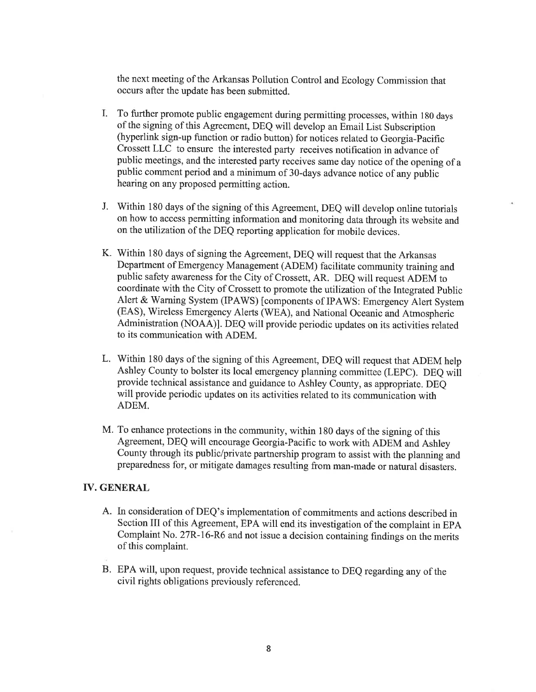the next meeting of the Arkansas Pollution Control and Ecology Commission that occurs after the update has been submitted.

- To further promote public engagement during permitting processes, within 180 days of the signing of this Agreement, DEQ will develop an Email List Subscription (hyperlink sign-up function or radio button) for notices related to Georgia-Pacific Crossett LLC to ensure the interested party receives notification in advance of public meetings, and the interested party receives same day notice of the opening of <sup>a</sup> public comment period and a minimum of 3O-days advance notice of any public hearing on any proposed permitting action. L
- J. Within 180 days of the signing of this Agreement, DEQ will develop online tutorials on how to access permitting information and monitoring data through its website and on the utilization of the DEQ reporting application for mobile devices.
- K. Within 180 days of signing the Agreement, DEQ will request that the Arkansas Department of Emergency Management (ADEM) facilitate community training and public safety awareness for the City of Crossett, AR. DEQ will request ADEM to coordinate with the City of Crossett to promote the utilization of the lntegrated Public Alert & Warning System (IPAWS) [components of IPAWS: Emergency Alert System (EAS), Wireless Emergency Alerts (WEA), and National Oceanic and Atmospheric Administration (NOAA)1. DEQ will provide periodic updates on its activities related to its communication with ADEM.
- L. Within 180 days of the signing of this Agreement, DEQ will request that ADEM help Ashley County to bolster its local emergency planning committee (LEPC). DEQ wiil provide technical assistance and guidance to Ashley County, as appropriate. DEQ will provide periodic updates on its activities related to its communication with ADEM.
- M. To enhance protections in the community, within 180 days of the signing of this Agreement, DEQ will encourage Georgia-Pacific to work with ADEM and Ashley County through its public/private partnership program to assist with the planning and preparedness for, or mitigate damages resulting from man-made or nafural disasters.

#### IV. GENERAL

- A. In consideration of DEQ's implementation of commitments and actions described in Section III of this Agreement, EPA will end its investigation of the complaint in EPA Complaint No. 27R-16-R6 and not issue a decision containing findings on the merits of this complaint.
- B. EPA will, upon request, provide technical assistance to DEQ regarding any of the civil rights obligations previously referenced.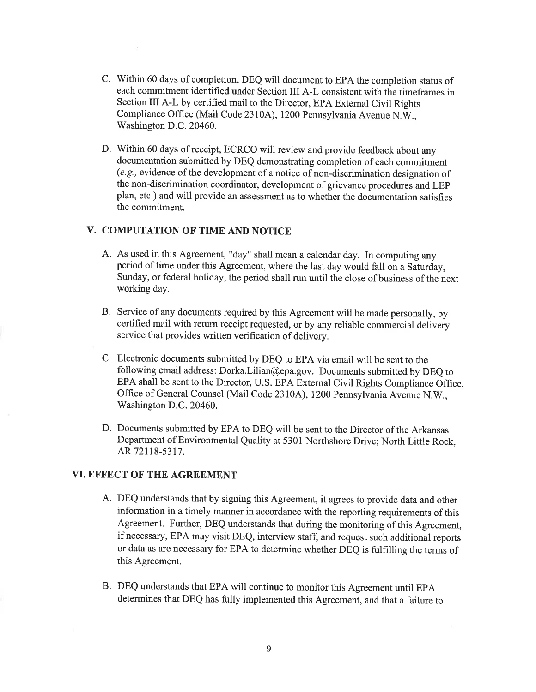- C. Within 60 days of completion, DEQ will document to EPA the completion status of each commitment identified under Section III A-L consistent with the timeframes in Section III A-L by certified mail to the Director, EPA External civil Rights Compliance Office (Mail Code 2310A), 1200 Pennsylvania Avenue N.W., Washington D.C.20460.
- D. Within 60 days of receipt, ECRCO will review and provide feedback about any documentation submitted by DEQ demonstrating completion of each commitment (e.g., evidence of the development of a notice of non-discrimination designation of the non-discrimination coordinator, development of grievance procedures and LEP plan, etc.) and will provide an assessment as to whether the documentation satisfies the commitment.

# V. COMPUTATION OF TIME AND NOTICE

- A. As used in this Agreement, "day" shall mean a calendar day. In computing any period of time under this Agreement, where the last day would fall on a Saturday, Sunday, or federal holiday, the period shall run until the close of business of the next working day.
- B. Service of any documents required by this Agreement will be made personally, by certified mail with return receipt requested, or by any reliable commercial delivery service that provides written verification of delivery.
- C. Electronic documents submitted by DEQ to EPA via email will be sent to the following email address: Dorka.Lilian@epa.gov. Documents submitted by DEQ to EPA shall be sent to the Director, U.S. EPA External Civil Rights Compliance Office, Office of General Counsel (Mail Code 2310A), 1200 Pennsylvania Avenue N.W., Washington D.C.20460.
- D. Documents submitted by EPA to DEQ will be sent to the Director of the Arkansas Department of Environmental Quality at 5301 Northshore Drive; North Little Rock, AR 72118-5317.

### VI. EFFECT OF THE AGREEMENT

- A. DEQ understands that by signing this Agreement, it agrees to provide data and other information in a timely manner in accordance with the reporting requirements of this Agreement. Further, DEQ understands that during the monitoring of this Agreement, if necessary, EPA may visit DEQ, interview staff, and request such additional reports or data as are necessary for EPA to determine whether DEQ is fulfilling the terms of this Agreement.
- B. DEQ understands that EPA will continue to monitor this Agreement until EPA determines that DEQ has fully implemented this Agreement, and that a failure to